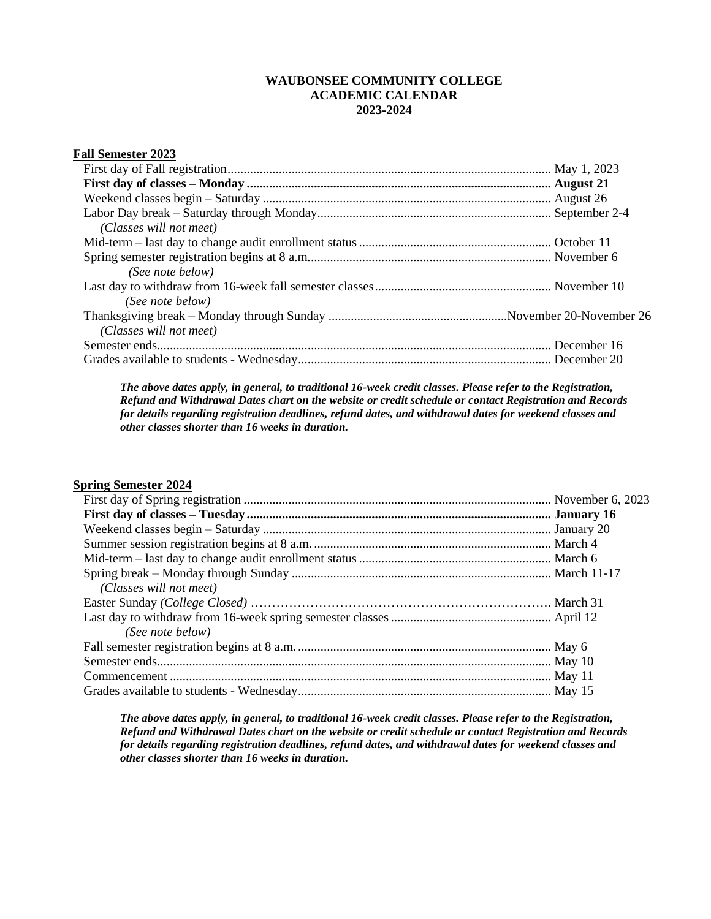## **WAUBONSEE COMMUNITY COLLEGE ACADEMIC CALENDAR 2023-2024**

| <b>Fall Semester 2023</b> |  |
|---------------------------|--|
|                           |  |
|                           |  |
|                           |  |
|                           |  |
| (Classes will not meet)   |  |
|                           |  |
|                           |  |
| (See note below)          |  |
|                           |  |
| (See note below)          |  |
|                           |  |
| (Classes will not meet)   |  |
|                           |  |
|                           |  |

*The above dates apply, in general, to traditional 16-week credit classes. Please refer to the Registration, Refund and Withdrawal Dates chart on the website or credit schedule or contact Registration and Records for details regarding registration deadlines, refund dates, and withdrawal dates for weekend classes and other classes shorter than 16 weeks in duration.* 

## **Spring Semester 2024**

| (Classes will not meet) |  |
|-------------------------|--|
|                         |  |
|                         |  |
| (See note below)        |  |
|                         |  |
|                         |  |
|                         |  |
|                         |  |

*The above dates apply, in general, to traditional 16-week credit classes. Please refer to the Registration, Refund and Withdrawal Dates chart on the website or credit schedule or contact Registration and Records for details regarding registration deadlines, refund dates, and withdrawal dates for weekend classes and other classes shorter than 16 weeks in duration.*